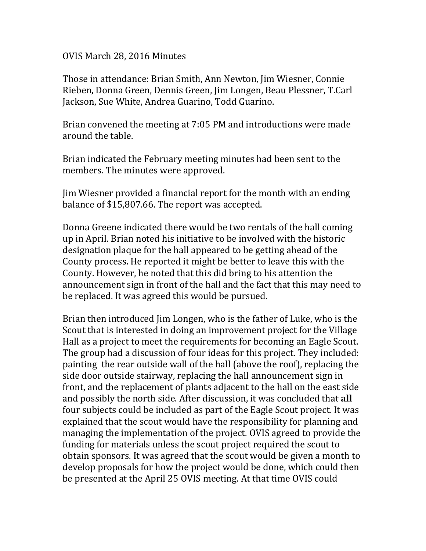OVIS March 28, 2016 Minutes

Those in attendance: Brian Smith, Ann Newton, Jim Wiesner, Connie Rieben, Donna Green, Dennis Green, Jim Longen, Beau Plessner, T.Carl Jackson, Sue White, Andrea Guarino, Todd Guarino.

Brian convened the meeting at 7:05 PM and introductions were made around the table.

Brian indicated the February meeting minutes had been sent to the members. The minutes were approved.

Jim Wiesner provided a financial report for the month with an ending balance of \$15,807.66. The report was accepted.

Donna Greene indicated there would be two rentals of the hall coming up in April. Brian noted his initiative to be involved with the historic designation plaque for the hall appeared to be getting ahead of the County process. He reported it might be better to leave this with the County. However, he noted that this did bring to his attention the announcement sign in front of the hall and the fact that this may need to be replaced. It was agreed this would be pursued.

Brian then introduced Jim Longen, who is the father of Luke, who is the Scout that is interested in doing an improvement project for the Village Hall as a project to meet the requirements for becoming an Eagle Scout. The group had a discussion of four ideas for this project. They included: painting the rear outside wall of the hall (above the roof), replacing the side door outside stairway, replacing the hall announcement sign in front, and the replacement of plants adjacent to the hall on the east side and possibly the north side. After discussion, it was concluded that **all** four subjects could be included as part of the Eagle Scout project. It was explained that the scout would have the responsibility for planning and managing the implementation of the project. OVIS agreed to provide the funding for materials unless the scout project required the scout to obtain sponsors. It was agreed that the scout would be given a month to develop proposals for how the project would be done, which could then be presented at the April 25 OVIS meeting. At that time OVIS could